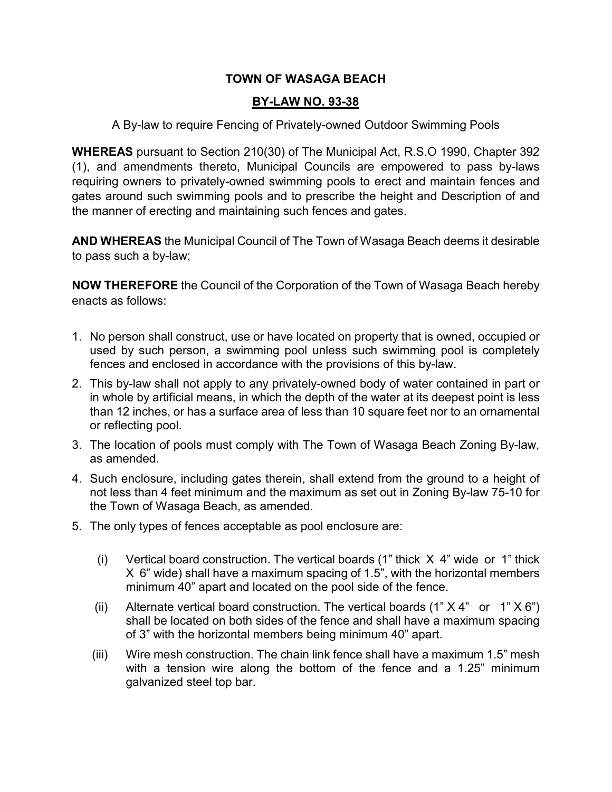## **TOWN OF WASAGA BEACH**

## **BY-LAW NO. 93-38**

## A By-law to require Fencing of Privately-owned Outdoor Swimming Pools

**WHEREAS** pursuant to Section 210(30) of The Municipal Act, R.S.O 1990, Chapter 392 (1), and amendments thereto, Municipal Councils are empowered to pass by-laws requiring owners to privately-owned swimming pools to erect and maintain fences and gates around such swimming pools and to prescribe the height and Description of and the manner of erecting and maintaining such fences and gates.

**AND WHEREAS** the Municipal Council of The Town of Wasaga Beach deems it desirable to pass such a by-law;

**NOW THEREFORE** the Council of the Corporation of the Town of Wasaga Beach hereby enacts as follows:

- 1. No person shall construct, use or have located on property that is owned, occupied or used by such person, a swimming pool unless such swimming pool is completely fences and enclosed in accordance with the provisions of this by-law.
- 2. This by-law shall not apply to any privately-owned body of water contained in part or in whole by artificial means, in which the depth of the water at its deepest point is less than 12 inches, or has a surface area of less than 10 square feet nor to an ornamental or reflecting pool.
- 3. The location of pools must comply with The Town of Wasaga Beach Zoning By-law, as amended.
- 4. Such enclosure, including gates therein, shall extend from the ground to a height of not less than 4 feet minimum and the maximum as set out in Zoning By-law 75-10 for the Town of Wasaga Beach, as amended.
- 5. The only types of fences acceptable as pool enclosure are:
	- (i) Vertical board construction. The vertical boards (1" thick X 4" wide or 1" thick X 6" wide) shall have a maximum spacing of 1.5", with the horizontal members minimum 40" apart and located on the pool side of the fence.
	- (ii) Alternate vertical board construction. The vertical boards  $(1" X 4"$  or  $1" X 6")$ shall be located on both sides of the fence and shall have a maximum spacing of 3" with the horizontal members being minimum 40" apart.
	- (iii) Wire mesh construction. The chain link fence shall have a maximum 1.5" mesh with a tension wire along the bottom of the fence and a 1.25" minimum galvanized steel top bar.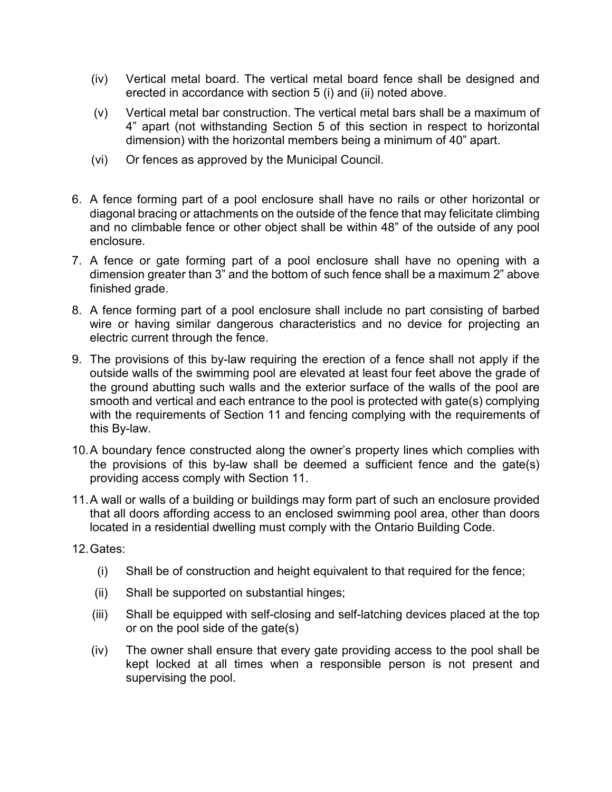- (iv) Vertical metal board. The vertical metal board fence shall be designed and erected in accordance with section 5 (i) and (ii) noted above.
- (v) Vertical metal bar construction. The vertical metal bars shall be a maximum of 4" apart (not withstanding Section 5 of this section in respect to horizontal dimension) with the horizontal members being a minimum of 40" apart.
- (vi) Or fences as approved by the Municipal Council.
- 6. A fence forming part of a pool enclosure shall have no rails or other horizontal or diagonal bracing or attachments on the outside of the fence that may felicitate climbing and no climbable fence or other object shall be within 48" of the outside of any pool enclosure.
- 7. A fence or gate forming part of a pool enclosure shall have no opening with a dimension greater than 3" and the bottom of such fence shall be a maximum 2" above finished grade.
- 8. A fence forming part of a pool enclosure shall include no part consisting of barbed wire or having similar dangerous characteristics and no device for projecting an electric current through the fence.
- 9. The provisions of this by-law requiring the erection of a fence shall not apply if the outside walls of the swimming pool are elevated at least four feet above the grade of the ground abutting such walls and the exterior surface of the walls of the pool are smooth and vertical and each entrance to the pool is protected with gate(s) complying with the requirements of Section 11 and fencing complying with the requirements of this By-law.
- 10.A boundary fence constructed along the owner's property lines which complies with the provisions of this by-law shall be deemed a sufficient fence and the gate(s) providing access comply with Section 11.
- 11.A wall or walls of a building or buildings may form part of such an enclosure provided that all doors affording access to an enclosed swimming pool area, other than doors located in a residential dwelling must comply with the Ontario Building Code.
- 12.Gates:
	- (i) Shall be of construction and height equivalent to that required for the fence;
	- (ii) Shall be supported on substantial hinges;
	- (iii) Shall be equipped with self-closing and self-latching devices placed at the top or on the pool side of the gate(s)
	- (iv) The owner shall ensure that every gate providing access to the pool shall be kept locked at all times when a responsible person is not present and supervising the pool.